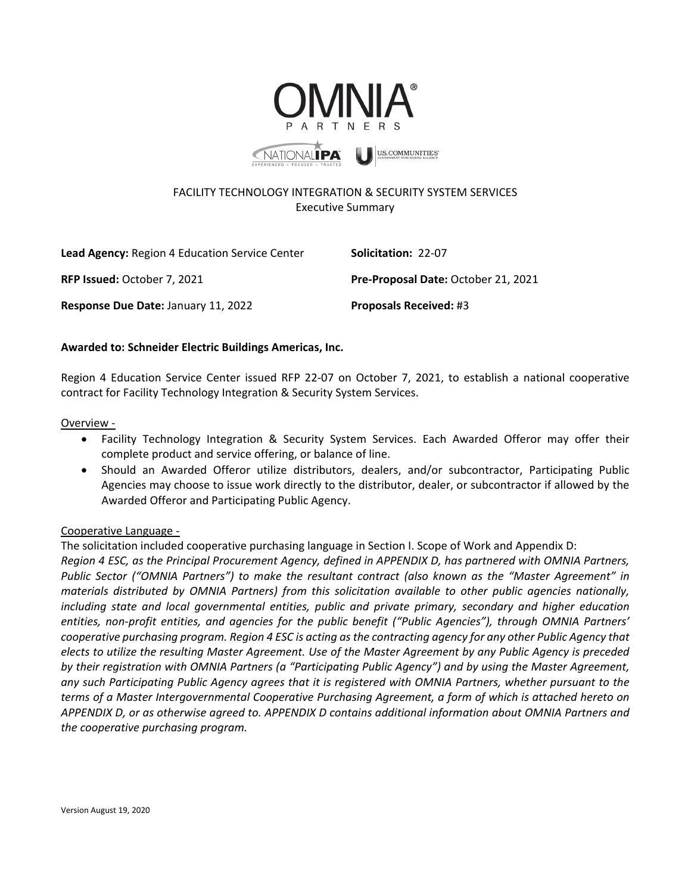



**U.S. COMMUNITIES** 

# FACILITY TECHNOLOGY INTEGRATION & SECURITY SYSTEM SERVICES Executive Summary

| <b>Lead Agency:</b> Region 4 Education Service Center | <b>Solicitation: 22-07</b>          |
|-------------------------------------------------------|-------------------------------------|
| <b>RFP Issued: October 7, 2021</b>                    | Pre-Proposal Date: October 21, 2021 |
| Response Due Date: January 11, 2022                   | <b>Proposals Received: #3</b>       |

## **Awarded to: Schneider Electric Buildings Americas, Inc.**

Region 4 Education Service Center issued RFP 22-07 on October 7, 2021, to establish a national cooperative contract for Facility Technology Integration & Security System Services.

#### Overview -

- Facility Technology Integration & Security System Services. Each Awarded Offeror may offer their complete product and service offering, or balance of line.
- Should an Awarded Offeror utilize distributors, dealers, and/or subcontractor, Participating Public Agencies may choose to issue work directly to the distributor, dealer, or subcontractor if allowed by the Awarded Offeror and Participating Public Agency.

## Cooperative Language -

The solicitation included cooperative purchasing language in Section I. Scope of Work and Appendix D: *Region 4 ESC, as the Principal Procurement Agency, defined in APPENDIX D, has partnered with OMNIA Partners, Public Sector ("OMNIA Partners") to make the resultant contract (also known as the "Master Agreement" in materials distributed by OMNIA Partners) from this solicitation available to other public agencies nationally, including state and local governmental entities, public and private primary, secondary and higher education entities, non-profit entities, and agencies for the public benefit ("Public Agencies"), through OMNIA Partners' cooperative purchasing program. Region 4 ESC is acting as the contracting agency for any other Public Agency that elects to utilize the resulting Master Agreement. Use of the Master Agreement by any Public Agency is preceded by their registration with OMNIA Partners (a "Participating Public Agency") and by using the Master Agreement, any such Participating Public Agency agrees that it is registered with OMNIA Partners, whether pursuant to the terms of a Master Intergovernmental Cooperative Purchasing Agreement, a form of which is attached hereto on APPENDIX D, or as otherwise agreed to. APPENDIX D contains additional information about OMNIA Partners and the cooperative purchasing program.*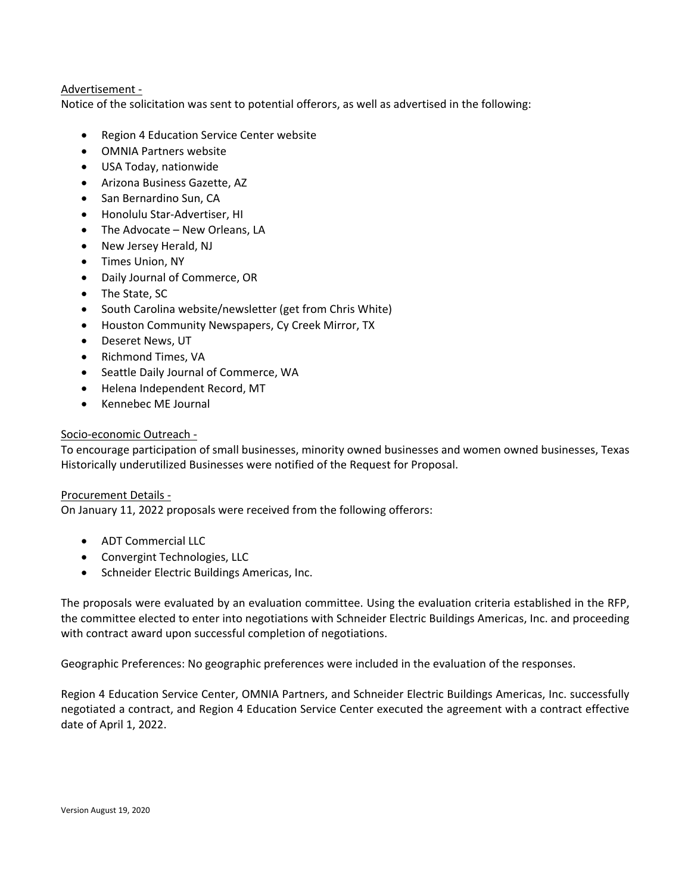## Advertisement -

Notice of the solicitation was sent to potential offerors, as well as advertised in the following:

- Region 4 Education Service Center website
- OMNIA Partners website
- USA Today, nationwide
- Arizona Business Gazette, AZ
- San Bernardino Sun, CA
- Honolulu Star-Advertiser, HI
- The Advocate New Orleans, LA
- New Jersey Herald, NJ
- Times Union, NY
- Daily Journal of Commerce, OR
- The State, SC
- South Carolina website/newsletter (get from Chris White)
- Houston Community Newspapers, Cy Creek Mirror, TX
- Deseret News, UT
- Richmond Times, VA
- Seattle Daily Journal of Commerce, WA
- Helena Independent Record, MT
- Kennebec ME Journal

### Socio-economic Outreach -

To encourage participation of small businesses, minority owned businesses and women owned businesses, Texas Historically underutilized Businesses were notified of the Request for Proposal.

Procurement Details -

On January 11, 2022 proposals were received from the following offerors:

- ADT Commercial LLC
- Convergint Technologies, LLC
- Schneider Electric Buildings Americas, Inc.

The proposals were evaluated by an evaluation committee. Using the evaluation criteria established in the RFP, the committee elected to enter into negotiations with Schneider Electric Buildings Americas, Inc. and proceeding with contract award upon successful completion of negotiations.

Geographic Preferences: No geographic preferences were included in the evaluation of the responses.

Region 4 Education Service Center, OMNIA Partners, and Schneider Electric Buildings Americas, Inc. successfully negotiated a contract, and Region 4 Education Service Center executed the agreement with a contract effective date of April 1, 2022.